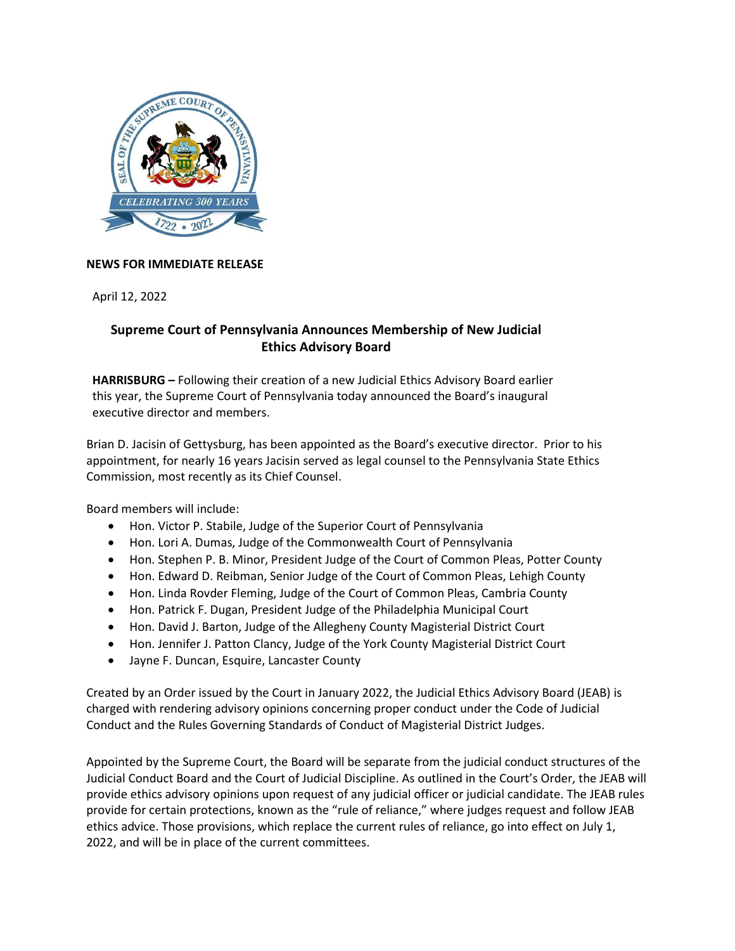

## **NEWS FOR IMMEDIATE RELEASE**

April 12, 2022

## **Supreme Court of Pennsylvania Announces Membership of New Judicial Ethics Advisory Board**

**HARRISBURG –** Following their creation of a new Judicial Ethics Advisory Board earlier this year, the Supreme Court of Pennsylvania today announced the Board's inaugural executive director and members.

Brian D. Jacisin of Gettysburg, has been appointed as the Board's executive director. Prior to his appointment, for nearly 16 years Jacisin served as legal counsel to the Pennsylvania State Ethics Commission, most recently as its Chief Counsel.

Board members will include:

- Hon. Victor P. Stabile, Judge of the Superior Court of Pennsylvania
- Hon. Lori A. Dumas, Judge of the Commonwealth Court of Pennsylvania
- Hon. Stephen P. B. Minor, President Judge of the Court of Common Pleas, Potter County
- Hon. Edward D. Reibman, Senior Judge of the Court of Common Pleas, Lehigh County
- Hon. Linda Rovder Fleming, Judge of the Court of Common Pleas, Cambria County
- Hon. Patrick F. Dugan, President Judge of the Philadelphia Municipal Court
- Hon. David J. Barton, Judge of the Allegheny County Magisterial District Court
- Hon. Jennifer J. Patton Clancy, Judge of the York County Magisterial District Court
- Jayne F. Duncan, Esquire, Lancaster County

Created by an Order issued by the Court in January 2022, the Judicial Ethics Advisory Board (JEAB) is charged with rendering advisory opinions concerning proper conduct under the Code of Judicial Conduct and the Rules Governing Standards of Conduct of Magisterial District Judges.

Appointed by the Supreme Court, the Board will be separate from the judicial conduct structures of the Judicial Conduct Board and the Court of Judicial Discipline. As outlined in the Court's Order, the JEAB will provide ethics advisory opinions upon request of any judicial officer or judicial candidate. The JEAB rules provide for certain protections, known as the "rule of reliance," where judges request and follow JEAB ethics advice. Those provisions, which replace the current rules of reliance, go into effect on July 1, 2022, and will be in place of the current committees.